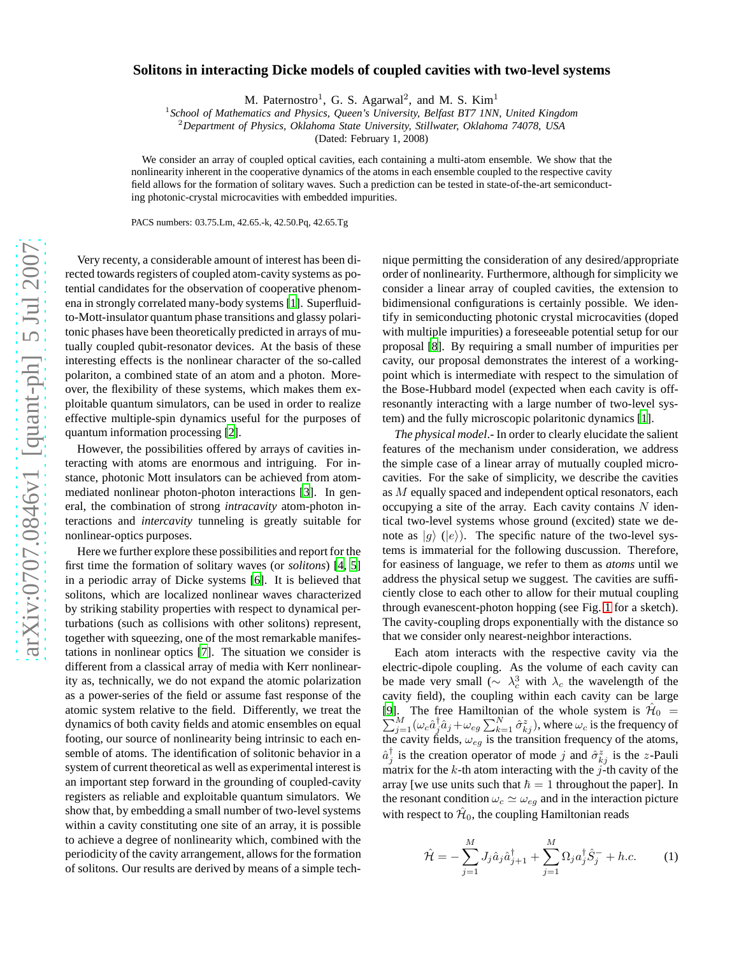## $arXiv:0707.0846v1$  [quant-ph] 5 Jul 2007 [arXiv:0707.0846v1 \[quant-ph\] 5 Jul 2007](http://arXiv.org/abs/0707.0846v1)

## **Solitons in interacting Dicke models of coupled cavities with two-level systems**

M. Paternostro<sup>1</sup>, G. S. Agarwal<sup>2</sup>, and M. S. Kim<sup>1</sup>

1 *School of Mathematics and Physics, Queen's University, Belfast BT7 1NN, United Kingdom*

<sup>2</sup>*Department of Physics, Oklahoma State University, Stillwater, Oklahoma 74078, USA*

(Dated: February 1, 2008)

We consider an array of coupled optical cavities, each containing a multi-atom ensemble. We show that the nonlinearity inherent in the cooperative dynamics of the atoms in each ensemble coupled to the respective cavity field allows for the formation of solitary waves. Such a prediction can be tested in state-of-the-art semiconducting photonic-crystal microcavities with embedded impurities.

PACS numbers: 03.75.Lm, 42.65.-k, 42.50.Pq, 42.65.Tg

Very recenty, a considerable amount of interest has been directed towards registers of coupled atom-cavity systems as potential candidates for the observation of cooperative phenomena in strongly correlated many-body systems [\[1\]](#page-3-0). Superfluidto-Mott-insulator quantum phase transitions and glassy polaritonic phases have been theoretically predicted in arrays of mutually coupled qubit-resonator devices. At the basis of these interesting effects is the nonlinear character of the so-called polariton, a combined state of an atom and a photon. Moreover, the flexibility of these systems, which makes them exploitable quantum simulators, can be used in order to realize effective multiple-spin dynamics useful for the purposes of quantum information processing [\[2](#page-3-1)].

However, the possibilities offered by arrays of cavities interacting with atoms are enormous and intriguing. For instance, photonic Mott insulators can be achieved from atommediated nonlinear photon-photon interactions [\[3\]](#page-3-2). In general, the combination of strong *intracavity* atom-photon interactions and *intercavity* tunneling is greatly suitable for nonlinear-optics purposes.

Here we further explore these possibilities and report for the first time the formation of solitary waves (or *solitons*) [\[4,](#page-3-3) [5\]](#page-3-4) in a periodic array of Dicke systems [\[6\]](#page-3-5). It is believed that solitons, which are localized nonlinear waves characterized by striking stability properties with respect to dynamical perturbations (such as collisions with other solitons) represent, together with squeezing, one of the most remarkable manifestations in nonlinear optics [\[7\]](#page-3-6). The situation we consider is different from a classical array of media with Kerr nonlinearity as, technically, we do not expand the atomic polarization as a power-series of the field or assume fast response of the atomic system relative to the field. Differently, we treat the dynamics of both cavity fields and atomic ensembles on equal footing, our source of nonlinearity being intrinsic to each ensemble of atoms. The identification of solitonic behavior in a system of current theoretical as well as experimental interest is an important step forward in the grounding of coupled-cavity registers as reliable and exploitable quantum simulators. We show that, by embedding a small number of two-level systems within a cavity constituting one site of an array, it is possible to achieve a degree of nonlinearity which, combined with the periodicity of the cavity arrangement, allows for the formation of solitons. Our results are derived by means of a simple technique permitting the consideration of any desired/appropriate order of nonlinearity. Furthermore, although for simplicity we consider a linear array of coupled cavities, the extension to bidimensional configurations is certainly possible. We identify in semiconducting photonic crystal microcavities (doped with multiple impurities) a foreseeable potential setup for our proposal [\[8\]](#page-3-7). By requiring a small number of impurities per cavity, our proposal demonstrates the interest of a workingpoint which is intermediate with respect to the simulation of the Bose-Hubbard model (expected when each cavity is offresonantly interacting with a large number of two-level system) and the fully microscopic polaritonic dynamics [\[1\]](#page-3-0).

*The physical model*.- In order to clearly elucidate the salient features of the mechanism under consideration, we address the simple case of a linear array of mutually coupled microcavities. For the sake of simplicity, we describe the cavities as M equally spaced and independent optical resonators, each occupying a site of the array. Each cavity contains  $N$  identical two-level systems whose ground (excited) state we denote as  $|g\rangle$  ( $|e\rangle$ ). The specific nature of the two-level systems is immaterial for the following duscussion. Therefore, for easiness of language, we refer to them as *atoms* until we address the physical setup we suggest. The cavities are sufficiently close to each other to allow for their mutual coupling through evanescent-photon hopping (see Fig. [1](#page-1-0) for a sketch). The cavity-coupling drops exponentially with the distance so that we consider only nearest-neighbor interactions.

Each atom interacts with the respective cavity via the electric-dipole coupling. As the volume of each cavity can be made very small ( $\sim \lambda_c^3$  with  $\lambda_c$  the wavelength of the cavity field), the coupling within each cavity can be large [\[9](#page-3-8)]. The free Hamiltonian of the whole system is  $\hat{\mathcal{H}}_0 = \sum_{j=1}^M (\omega_c \hat{a}_j^{\dagger} \hat{a}_j + \omega_{eg} \sum_{k=1}^N \hat{\sigma}_{kj}^z)$ , where  $\omega_c$  is the frequency of the cavity fields,  $\omega_{eg}$  is the transition frequency of the atoms,  $\hat{a}_{j}^{\dagger}$  is the creation operator of mode j and  $\hat{\sigma}_{kj}^{z}$  is the z-Pauli matrix for the  $k$ -th atom interacting with the  $j$ -th cavity of the array [we use units such that  $\hbar = 1$  throughout the paper]. In the resonant condition  $\omega_c \simeq \omega_{eg}$  and in the interaction picture with respect to  $\hat{\mathcal{H}}_0$ , the coupling Hamiltonian reads

<span id="page-0-0"></span>
$$
\hat{\mathcal{H}} = -\sum_{j=1}^{M} J_j \hat{a}_j \hat{a}_{j+1}^{\dagger} + \sum_{j=1}^{M} \Omega_j a_j^{\dagger} \hat{S}_j^{-} + h.c.
$$
 (1)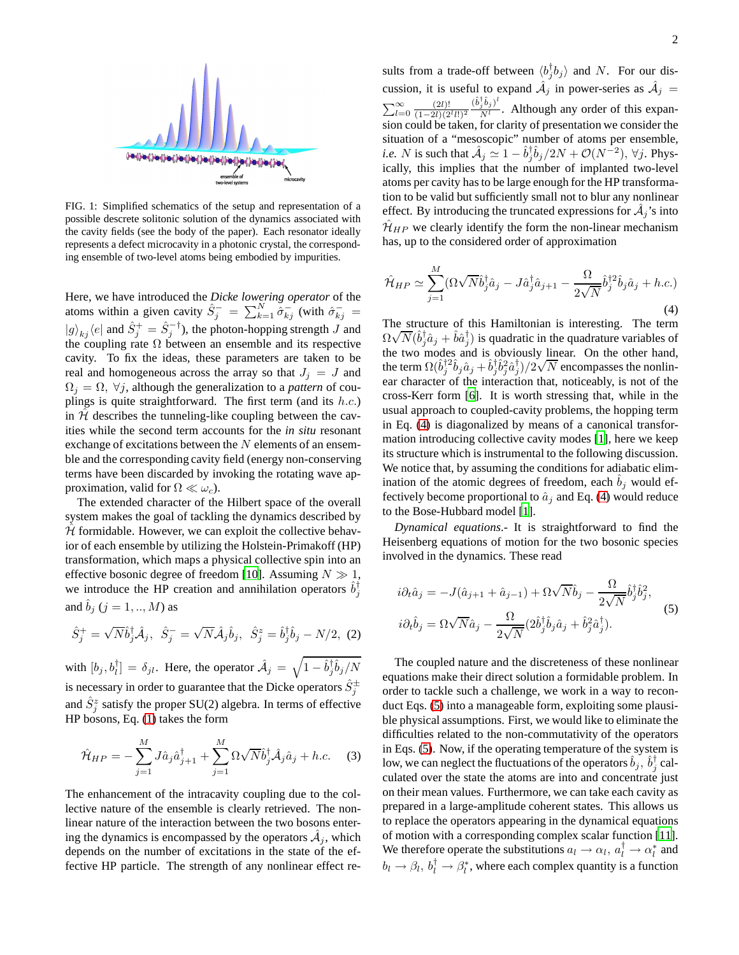

<span id="page-1-0"></span>FIG. 1: Simplified schematics of the setup and representation of a possible descrete solitonic solution of the dynamics associated with the cavity fields (see the body of the paper). Each resonator ideally represents a defect microcavity in a photonic crystal, the corresponding ensemble of two-level atoms being embodied by impurities.

Here, we have introduced the *Dicke lowering operator* of the atoms within a given cavity  $\hat{S}_j^- = \sum_{k=1}^N \tilde{\hat{\sigma}}_{kj}^-$  (with  $\hat{\sigma}_{kj}^ |g\rangle_{kj}\langle e|$  and  $\hat{S}_j^+=\hat{S}_j^{-\dagger}$ ), the photon-hopping strength  $J$  and the coupling rate  $\Omega$  between an ensemble and its respective cavity. To fix the ideas, these parameters are taken to be real and homogeneous across the array so that  $J_i = J$  and  $\Omega_i = \Omega$ ,  $\forall j$ , although the generalization to a *pattern* of couplings is quite straightforward. The first term (and its  $h.c.$ ) in  $\hat{\mathcal{H}}$  describes the tunneling-like coupling between the cavities while the second term accounts for the *in situ* resonant exchange of excitations between the  $N$  elements of an ensemble and the corresponding cavity field (energy non-conserving terms have been discarded by invoking the rotating wave approximation, valid for  $\Omega \ll \omega_c$ ).

The extended character of the Hilbert space of the overall system makes the goal of tackling the dynamics described by  $H$  formidable. However, we can exploit the collective behavior of each ensemble by utilizing the Holstein-Primakoff (HP) transformation, which maps a physical collective spin into an effective bosonic degree of freedom [\[10\]](#page-3-9). Assuming  $N \gg 1$ , we introduce the HP creation and annihilation operators  $\hat{b}_j^{\dagger}$ and  $b_j$  ( $j = 1, ..., M$ ) as

$$
\hat{S}_j^+ = \sqrt{N} \hat{b}_j^{\dagger} \hat{\mathcal{A}}_j, \quad \hat{S}_j^- = \sqrt{N} \hat{\mathcal{A}}_j \hat{b}_j, \quad \hat{S}_j^z = \hat{b}_j^{\dagger} \hat{b}_j - N/2, \tag{2}
$$

with  $[b_j, b_l^{\dagger}] = \delta_{jl}$ . Here, the operator  $\hat{\mathcal{A}}_j = \sqrt{1 - \hat{b}_j^{\dagger} \hat{b}_j / N}$ is necessary in order to guarantee that the Dicke operators  $\hat{S}_j^{\pm}$ and  $\hat{S}_{j}^{z}$  satisfy the proper SU(2) algebra. In terms of effective HP bosons, Eq. [\(1\)](#page-0-0) takes the form

$$
\hat{\mathcal{H}}_{HP} = -\sum_{j=1}^{M} J\hat{a}_j \hat{a}_{j+1}^{\dagger} + \sum_{j=1}^{M} \Omega \sqrt{N} \hat{b}_j^{\dagger} \hat{\mathcal{A}}_j \hat{a}_j + h.c.
$$
 (3)

The enhancement of the intracavity coupling due to the collective nature of the ensemble is clearly retrieved. The nonlinear nature of the interaction between the two bosons entering the dynamics is encompassed by the operators  $\hat{A}_j$ , which depends on the number of excitations in the state of the effective HP particle. The strength of any nonlinear effect re-

sults from a trade-off between  $\langle b_j^{\dagger} b_j \rangle$  and N. For our discussion, it is useful to expand  $\hat{\mathcal{A}}_j$  in power-series as  $\hat{\mathcal{A}}_j$  =  $\sum_{l=0}^{\infty} \frac{(2l)!}{(1-2l)(2^l l!)^2}$  $(\hat{b}_j^\dagger \hat{b}_j)^l$  $\frac{j^{0}g}{N^{l}}$ . Although any order of this expansion could be taken, for clarity of presentation we consider the situation of a "mesoscopic" number of atoms per ensemble, *i.e.* N is such that  $\hat{A}_j \simeq 1 - \hat{b}_j^{\dagger} \hat{b}_j / 2N + \mathcal{O}(N^{-2}), \forall j$ . Physically, this implies that the number of implanted two-level atoms per cavity has to be large enough for the HP transformation to be valid but sufficiently small not to blur any nonlinear effect. By introducing the truncated expressions for  $\hat{A}_j$ 's into  $\mathcal{H}_{HP}$  we clearly identify the form the non-linear mechanism has, up to the considered order of approximation

<span id="page-1-1"></span>
$$
\hat{\mathcal{H}}_{HP} \simeq \sum_{j=1}^{M} (\Omega \sqrt{N} \hat{b}_j^{\dagger} \hat{a}_j - J \hat{a}_j^{\dagger} \hat{a}_{j+1} - \frac{\Omega}{2\sqrt{N}} \hat{b}_j^{\dagger 2} \hat{b}_j \hat{a}_j + h.c.)
$$
\n(4)

The structure of this Hamiltonian is interesting. The term  $\Omega \sqrt{N} (\hat{b}_j^{\dagger} \hat{a}_j + \hat{b} \hat{a}_j^{\dagger})$  is quadratic in the quadrature variables of the two modes and is obviously linear. On the other hand, the term  $\Omega(\hat{b}_j^{\dagger 2}\hat{b}_j\hat{a}_j + \hat{b}_j^{\dagger}\hat{b}_j^2\hat{a}_j^{\dagger})/2\sqrt{N}$  encompasses the nonlinear character of the interaction that, noticeably, is not of the cross-Kerr form [\[6\]](#page-3-5). It is worth stressing that, while in the usual approach to coupled-cavity problems, the hopping term in Eq. [\(4\)](#page-1-1) is diagonalized by means of a canonical transformation introducing collective cavity modes [\[1\]](#page-3-0), here we keep its structure which is instrumental to the following discussion. We notice that, by assuming the conditions for adiabatic elimination of the atomic degrees of freedom, each  $b_j$  would effectively become proportional to  $\hat{a}_j$  and Eq. [\(4\)](#page-1-1) would reduce to the Bose-Hubbard model [\[1](#page-3-0)].

*Dynamical equations*.- It is straightforward to find the Heisenberg equations of motion for the two bosonic species involved in the dynamics. These read

<span id="page-1-2"></span>
$$
i\partial_t \hat{a}_j = -J(\hat{a}_{j+1} + \hat{a}_{j-1}) + \Omega \sqrt{N} \hat{b}_j - \frac{\Omega}{2\sqrt{N}} \hat{b}_j^{\dagger} \hat{b}_j^2,
$$
  
\n
$$
i\partial_t \hat{b}_j = \Omega \sqrt{N} \hat{a}_j - \frac{\Omega}{2\sqrt{N}} (2\hat{b}_j^{\dagger} \hat{b}_j \hat{a}_j + \hat{b}_j^2 \hat{a}_j^{\dagger}).
$$
\n(5)

The coupled nature and the discreteness of these nonlinear equations make their direct solution a formidable problem. In order to tackle such a challenge, we work in a way to reconduct Eqs. [\(5\)](#page-1-2) into a manageable form, exploiting some plausible physical assumptions. First, we would like to eliminate the difficulties related to the non-commutativity of the operators in Eqs. [\(5\)](#page-1-2). Now, if the operating temperature of the system is low, we can neglect the fluctuations of the operators  $\hat{b}_j$ ,  $\hat{b}_j^{\dagger}$  calculated over the state the atoms are into and concentrate just on their mean values. Furthermore, we can take each cavity as prepared in a large-amplitude coherent states. This allows us to replace the operators appearing in the dynamical equations of motion with a corresponding complex scalar function [\[11](#page-3-10)]. We therefore operate the substitutions  $a_l \rightarrow \alpha_l, a_l^{\dagger} \rightarrow \alpha_l^*$  and  $b_l \rightarrow \beta_l, b_l^{\dagger} \rightarrow \beta_l^*$ , where each complex quantity is a function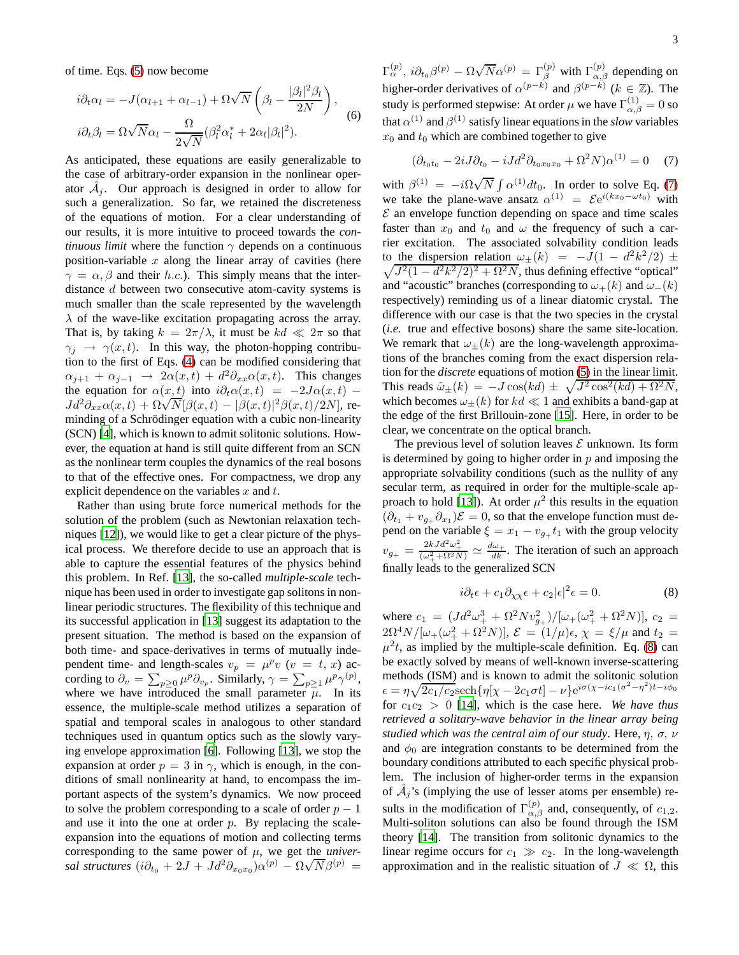of time. Eqs. [\(5\)](#page-1-2) now become

<span id="page-2-2"></span>
$$
i\partial_t \alpha_l = -J(\alpha_{l+1} + \alpha_{l-1}) + \Omega \sqrt{N} \left( \beta_l - \frac{|\beta_l|^2 \beta_l}{2N} \right),
$$
  

$$
i\partial_t \beta_l = \Omega \sqrt{N} \alpha_l - \frac{\Omega}{2\sqrt{N}} (\beta_l^2 \alpha_l^* + 2\alpha_l |\beta_l|^2).
$$
 (6)

As anticipated, these equations are easily generalizable to the case of arbitrary-order expansion in the nonlinear operator  $\hat{A}_j$ . Our approach is designed in order to allow for such a generalization. So far, we retained the discreteness of the equations of motion. For a clear understanding of our results, it is more intuitive to proceed towards the *continuous limit* where the function  $\gamma$  depends on a continuous position-variable  $x$  along the linear array of cavities (here  $\gamma = \alpha, \beta$  and their h.c.). This simply means that the interdistance d between two consecutive atom-cavity systems is much smaller than the scale represented by the wavelength  $\lambda$  of the wave-like excitation propagating across the array. That is, by taking  $k = 2\pi/\lambda$ , it must be  $kd \ll 2\pi$  so that  $\gamma_i \rightarrow \gamma(x, t)$ . In this way, the photon-hopping contribution to the first of Eqs. [\(4\)](#page-1-1) can be modified considering that  $\alpha_{j+1} + \alpha_{j-1} \rightarrow 2\alpha(x,t) + d^2\partial_{xx}\alpha(x,t)$ . This changes the equation for  $\alpha(x, t)$  into  $i\partial_t\alpha(x, t) = -2J\alpha(x, t)$  –  $Jd^2\partial_{xx}\alpha(x,t) + \Omega\sqrt{N}[\beta(x,t) - |\beta(x,t)|^2\beta(x,t)/2N],$  reminding of a Schrödinger equation with a cubic non-linearity (SCN) [\[4\]](#page-3-3), which is known to admit solitonic solutions. However, the equation at hand is still quite different from an SCN as the nonlinear term couples the dynamics of the real bosons to that of the effective ones. For compactness, we drop any explicit dependence on the variables  $x$  and  $t$ .

Rather than using brute force numerical methods for the solution of the problem (such as Newtonian relaxation techniques [\[12\]](#page-3-11)), we would like to get a clear picture of the physical process. We therefore decide to use an approach that is able to capture the essential features of the physics behind this problem. In Ref. [\[13\]](#page-3-12), the so-called *multiple-scale* technique has been used in order to investigate gap solitons in nonlinear periodic structures. The flexibility of this technique and its successful application in [\[13\]](#page-3-12) suggest its adaptation to the present situation. The method is based on the expansion of both time- and space-derivatives in terms of mutually independent time- and length-scales  $v_p = \mu^p v$  ( $v = t, x$ ) according to  $\partial_v = \sum_{p\geq 0} \mu^p \partial_{v_p}$ . Similarly,  $\gamma = \sum_{p\geq 1} \mu^p \gamma^{(p)}$ , where we have introduced the small parameter  $\bar{\mu}$ . In its essence, the multiple-scale method utilizes a separation of spatial and temporal scales in analogous to other standard techniques used in quantum optics such as the slowly varying envelope approximation [\[6](#page-3-5)]. Following [\[13](#page-3-12)], we stop the expansion at order  $p = 3$  in  $\gamma$ , which is enough, in the conditions of small nonlinearity at hand, to encompass the important aspects of the system's dynamics. We now proceed to solve the problem corresponding to a scale of order  $p - 1$ and use it into the one at order  $p$ . By replacing the scaleexpansion into the equations of motion and collecting terms corresponding to the same power of  $\mu$ , we get the *universal structures*  $(i\partial_{t_0} + 2J + Jd^2\partial_{x_0x_0})\alpha^{(p)} - \Omega\sqrt{N}\beta^{(p)} =$ 

 $\Gamma_\alpha^{(p)}$ ,  $i\partial_{t_0}\beta^{(p)} - \Omega \sqrt{N} \alpha^{(p)} = \Gamma_\beta^{(p)}$  with  $\Gamma_{\alpha,\beta}^{(p)}$  depending on higher-order derivatives of  $\alpha^{(p-k)}$  and  $\beta^{(p-k)}$  ( $k \in \mathbb{Z}$ ). The study is performed stepwise: At order  $\mu$  we have  $\Gamma_{\alpha,\beta}^{(1)} = 0$  so that  $\alpha^{(1)}$  and  $\beta^{(1)}$  satisfy linear equations in the *slow* variables  $x_0$  and  $t_0$  which are combined together to give

<span id="page-2-0"></span>
$$
(\partial_{t_0 t_0} - 2iJ \partial_{t_0} - iJ d^2 \partial_{t_0 x_0 x_0} + \Omega^2 N) \alpha^{(1)} = 0 \quad (7)
$$

with  $\beta^{(1)} = -i\Omega \sqrt{N} \int \alpha^{(1)} dt_0$ . In order to solve Eq. [\(7\)](#page-2-0) we take the plane-wave ansatz  $\alpha^{(1)} = \mathcal{E}e^{i(kx_0 - \omega t_0)}$  with  $\mathcal E$  an envelope function depending on space and time scales faster than  $x_0$  and  $t_0$  and  $\omega$  the frequency of such a carrier excitation. The associated solvability condition leads to the dispersion relation  $\omega_{\pm}(k) = -J(1 - d^2k^2/2) \pm$  $\sqrt{J^2(1-d^2k^2/2)^2 + \Omega^2N}$ , thus defining effective "optical" and "acoustic" branches (corresponding to  $\omega_{+}(k)$  and  $\omega_{-}(k)$ ) respectively) reminding us of a linear diatomic crystal. The difference with our case is that the two species in the crystal (*i.e.* true and effective bosons) share the same site-location. We remark that  $\omega_{\pm}(k)$  are the long-wavelength approximations of the branches coming from the exact dispersion relation for the *discrete* equations of motion [\(5\)](#page-1-2) in the linear limit. This reads  $\tilde{\omega}_{\pm}(k) = -J\cos(kd) \pm \sqrt{J^2\cos^2(kd) + \Omega^2N}$ , which becomes  $\omega_{+}(k)$  for  $kd \ll 1$  and exhibits a band-gap at the edge of the first Brillouin-zone [\[15\]](#page-3-13). Here, in order to be clear, we concentrate on the optical branch.

The previous level of solution leaves  $\mathcal E$  unknown. Its form is determined by going to higher order in  $p$  and imposing the appropriate solvability conditions (such as the nullity of any secular term, as required in order for the multiple-scale ap-proach to hold [\[13\]](#page-3-12)). At order  $\mu^2$  this results in the equation  $(\partial_{t_1} + v_{g_+} \partial_{x_1})\mathcal{E} = 0$ , so that the envelope function must depend on the variable  $\xi = x_1 - v_{g+} t_1$  with the group velocity  $v_{g_+} = \frac{2kJd^2\omega_+^2}{(\omega_+^2 + \Omega^2 N)} \simeq \frac{d\omega_+}{dk}$ . The iteration of such an approach finally leads to the generalized SCN

<span id="page-2-1"></span>
$$
i\partial_t \epsilon + c_1 \partial_{\chi\chi} \epsilon + c_2 |\epsilon|^2 \epsilon = 0. \tag{8}
$$

where  $c_1 = (Jd^2\omega_+^3 + \Omega^2 N v_{g_+}^2)/[\omega_+(\omega_+^2 + \Omega^2 N)]$ ,  $c_2 =$  $2\Omega^4 N/[\omega_+(\omega_+^2+\Omega^2 N)], \mathcal{E} = (1/\mu)\epsilon, \chi = \xi/\mu$  and  $t_2 =$  $\mu^2 t$ , as implied by the multiple-scale definition. Eq. [\(8\)](#page-2-1) can be exactly solved by means of well-known inverse-scattering methods (ISM) and is known to admit the solitonic solution  $\epsilon = \eta \sqrt{2c_1/c_2} \operatorname{sech} {\{\eta[\chi - 2c_1\sigma t] - \nu\}} e^{i\sigma(\chi - ic_1(\sigma^2 - \eta^2)t - i\phi_0)}$ for  $c_1c_2 > 0$  [\[14\]](#page-3-14), which is the case here. We have thus *retrieved a solitary-wave behavior in the linear array being studied which was the central aim of our study*. Here, η, σ, ν and  $\phi_0$  are integration constants to be determined from the boundary conditions attributed to each specific physical problem. The inclusion of higher-order terms in the expansion of  $\hat{A}_j$ 's (implying the use of lesser atoms per ensemble) results in the modification of  $\Gamma_{\alpha,\beta}^{(p)}$  and, consequently, of  $c_{1,2}$ . Multi-soliton solutions can also be found through the ISM theory [\[14\]](#page-3-14). The transition from solitonic dynamics to the linear regime occurs for  $c_1 \gg c_2$ . In the long-wavelength approximation and in the realistic situation of  $J \ll \Omega$ , this